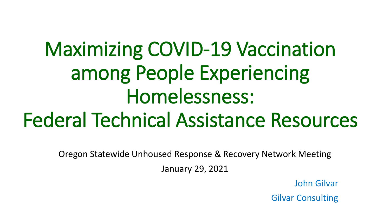# Maximizing COVID-19 Vaccination among People Experiencing Homelessness: Federal Technical Assistance Resources

Oregon Statewide Unhoused Response & Recovery Network Meeting

January 29, 2021

John Gilvar

Gilvar Consulting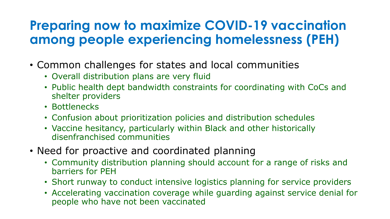### **Preparing now to maximize COVID-19 vaccination among people experiencing homelessness (PEH)**

- Common challenges for states and local communities
	- Overall distribution plans are very fluid
	- Public health dept bandwidth constraints for coordinating with CoCs and shelter providers
	- Bottlenecks
	- Confusion about prioritization policies and distribution schedules
	- Vaccine hesitancy, particularly within Black and other historically disenfranchised communities
- Need for proactive and coordinated planning
	- Community distribution planning should account for a range of risks and barriers for PEH
	- Short runway to conduct intensive logistics planning for service providers
	- Accelerating vaccination coverage while guarding against service denial for people who have not been vaccinated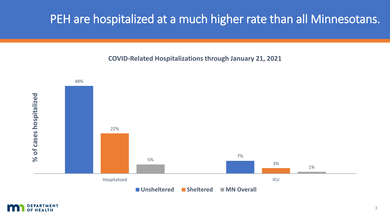### PEH are hospitalized at a much higher rate than all Minnesotans.

#### **COVID-Related Hospitalizations through January 21, 2021**



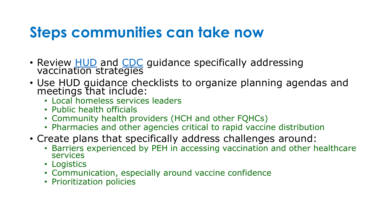# **Steps communities can take now**

- Review [HUD](https://www.hudexchange.info/resource/6229/covid19-homeless-system-response-vaccine-planning-and-distribution/?utm_source=HUD+Exchange+Mailing+List&utm_campaign=d552d08312-SNAPS-COVID-19-Digest-1-11-2021&utm_medium=email&utm_term=0_f32b935a5f-d552d08312-19576269) and [CDC](https://www.cdc.gov/coronavirus/2019-ncov/communication/toolkits/people-experiencing-homelessness.html) guidance specifically addressing vaccination strategies
- Use HUD guidance checklists to organize planning agendas and meetings that include:
	- Local homeless services leaders
	- Public health officials
	- Community health providers (HCH and other FQHCs)
	- Pharmacies and other agencies critical to rapid vaccine distribution
- Create plans that specifically address challenges around:
	- Barriers experienced by PEH in accessing vaccination and other healthcare services
	- Logistics
	- Communication, especially around vaccine confidence
	- Prioritization policies